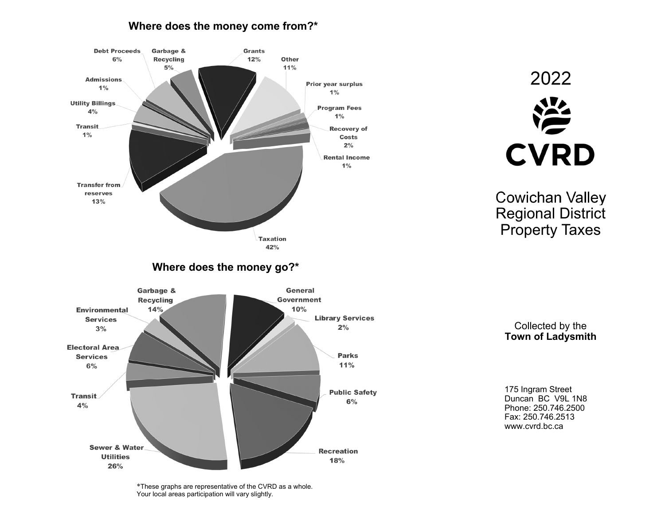## **Where does the money come from?\***



2022 **CVRD** 

Cowichan Valley Regional District Property Taxes

Collected by the **Town of Ladysmith** 

175 Ingram Street Duncan BC V9L 1N8 Phone: 250.746.2500 Fax: 250.746.2513 www.cvrd.bc.ca

\*These graphs are representative of the CVRD as a whole. Your local areas participation will vary slightly.